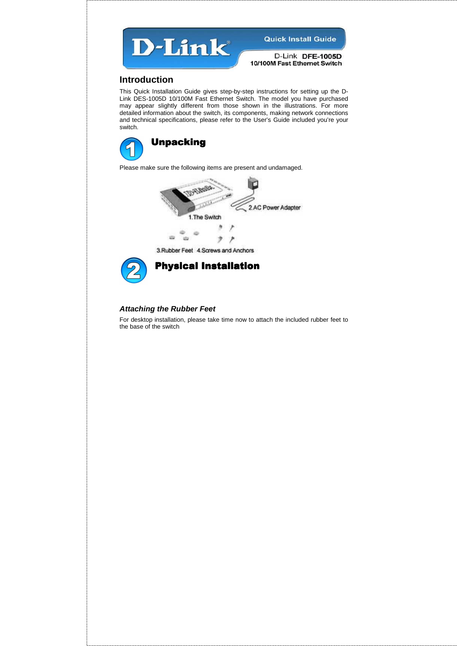

D-Link DFE-1005D 10/100M Fast Ethernet Switch

#### **Introduction**

This Quick Installation Guide gives step-by-step instructions for setting up the D-Link DES-1005D 10/100M Fast Ethernet Switch. The model you have purchased may appear slightly different from those shown in the illustrations. For more detailed information about the switch, its components, making network connections and technical specifications, please refer to the User's Guide included you're your switch.



Please make sure the following items are present and undamaged.



3. Rubber Feet 4. Screws and Anchors



Physical Installation

#### **Attaching the Rubber Feet**

For desktop installation, please take time now to attach the included rubber feet to the base of the switch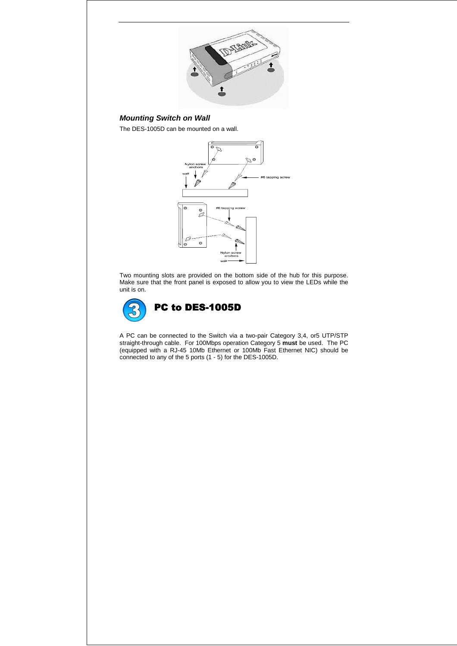

## **Mounting Switch on Wall**

The DES-1005D can be mounted on a wall.



Two mounting slots are provided on the bottom side of the hub for this purpose. Make sure that the front panel is exposed to allow you to view the LEDs while the unit is on.



A PC can be connected to the Switch via a two-pair Category 3,4, or5 UTP/STP straight-through cable. For 100Mbps operation Category 5 **must** be used. The PC (equipped with a RJ-45 10Mb Ethernet or 100Mb Fast Ethernet NIC) should be connected to any of the 5 ports (1 - 5) for the DES-1005D.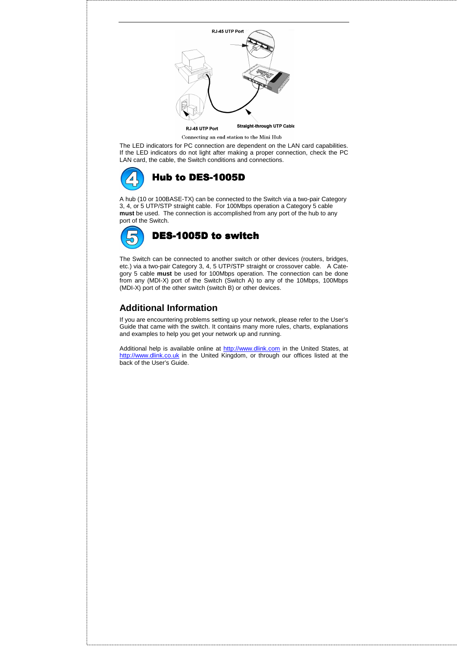

Connecting an end station to the Mini Hub

The LED indicators for PC connection are dependent on the LAN card capabilities. If the LED indicators do not light after making a proper connection, check the PC LAN card, the cable, the Switch conditions and connections.



A hub (10 or 100BASE-TX) can be connected to the Switch via a two-pair Category 3, 4, or 5 UTP/STP straight cable. For 100Mbps operation a Category 5 cable **must** be used. The connection is accomplished from any port of the hub to any port of the Switch.



The Switch can be connected to another switch or other devices (routers, bridges, etc.) via a two-pair Category 3, 4, 5 UTP/STP straight or crossover cable. A Category 5 cable **must** be used for 100Mbps operation. The connection can be done from any (MDI-X) port of the Switch (Switch A) to any of the 10Mbps, 100Mbps (MDI-X) port of the other switch (switch B) or other devices.

## **Additional Information**

If you are encountering problems setting up your network, please refer to the User's Guide that came with the switch. It contains many more rules, charts, explanations and examples to help you get your network up and running.

Additional help is available online at http://www.dlink.com in the United States, at http://www.dlink.co.uk in the United Kingdom, or through our offices listed at the back of the User's Guide.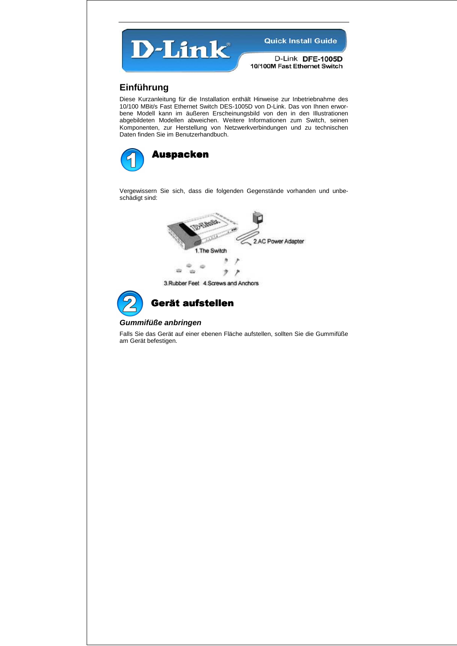

D-Link DFE-1005D 10/100M Fast Ethernet Switch

## **Einführung**

Diese Kurzanleitung für die Installation enthält Hinweise zur Inbetriebnahme des 10/100 MBit/s Fast Ethernet Switch DES-1005D von D-Link. Das von Ihnen erworbene Modell kann im äußeren Erscheinungsbild von den in den Illustrationen abgebildeten Modellen abweichen. Weitere Informationen zum Switch, seinen Komponenten, zur Herstellung von Netzwerkverbindungen und zu technischen Daten finden Sie im Benutzerhandbuch.



Vergewissern Sie sich, dass die folgenden Gegenstände vorhanden und unbeschädigt sind:



3. Rubber Feet 4. Screws and Anchors



## Gerät aufstellen

#### **Gummifüße anbringen**

Falls Sie das Gerät auf einer ebenen Fläche aufstellen, sollten Sie die Gummifüße am Gerät befestigen.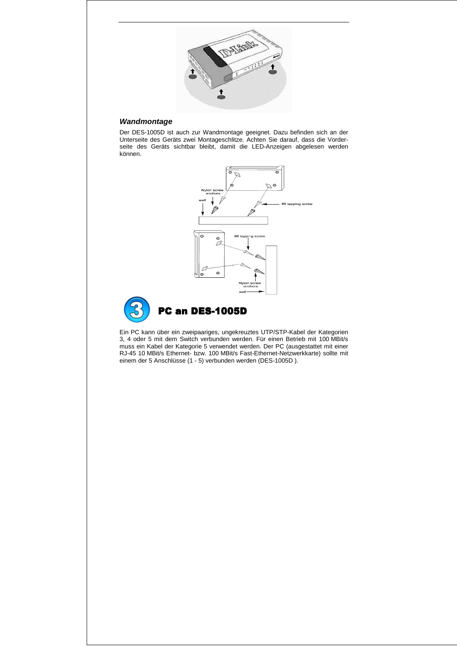

#### **Wandmontage**

Der DES-1005D ist auch zur Wandmontage geeignet. Dazu befinden sich an der Unterseite des Geräts zwei Montageschlitze. Achten Sie darauf, dass die Vorderseite des Geräts sichtbar bleibt, damit die LED-Anzeigen abgelesen werden können.



Ein PC kann über ein zweipaariges, ungekreuztes UTP/STP-Kabel der Kategorien 3, 4 oder 5 mit dem Switch verbunden werden. Für einen Betrieb mit 100 MBit/s muss ein Kabel der Kategorie 5 verwendet werden. Der PC (ausgestattet mit einer RJ-45 10 MBit/s Ethernet- bzw. 100 MBit/s Fast-Ethernet-Netzwerkkarte) sollte mit einem der 5 Anschlüsse (1 - 5) verbunden werden (DES-1005D ).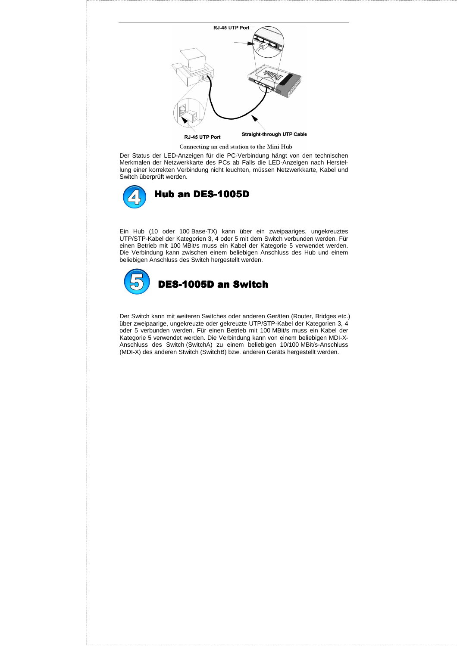

Connecting an end station to the Mini Hub

Der Status der LED-Anzeigen für die PC-Verbindung hängt von den technischen Merkmalen der Netzwerkkarte des PCs ab Falls die LED-Anzeigen nach Herstellung einer korrekten Verbindung nicht leuchten, müssen Netzwerkkarte, Kabel und Switch überprüft werden.



Ein Hub (10 oder 100 Base-TX) kann über ein zweipaariges, ungekreuztes UTP/STP-Kabel der Kategorien 3, 4 oder 5 mit dem Switch verbunden werden. Für einen Betrieb mit 100 MBit/s muss ein Kabel der Kategorie 5 verwendet werden. Die Verbindung kann zwischen einem beliebigen Anschluss des Hub und einem beliebigen Anschluss des Switch hergestellt werden.



Der Switch kann mit weiteren Switches oder anderen Geräten (Router, Bridges etc.) über zweipaarige, ungekreuzte oder gekreuzte UTP/STP-Kabel der Kategorien 3, 4 oder 5 verbunden werden. Für einen Betrieb mit 100 MBit/s muss ein Kabel der Kategorie 5 verwendet werden. Die Verbindung kann von einem beliebigen MDI-X-Anschluss des Switch (SwitchA) zu einem beliebigen 10/100 MBit/s-Anschluss (MDI-X) des anderen Stwitch (SwitchB) bzw. anderen Geräts hergestellt werden.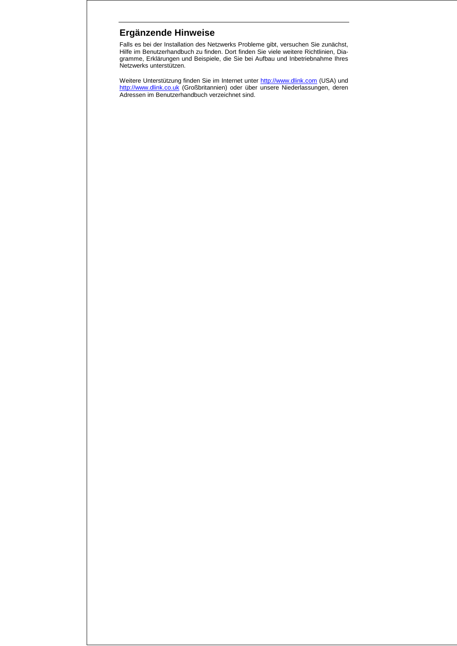# **Ergänzende Hinweise**

Falls es bei der Installation des Netzwerks Probleme gibt, versuchen Sie zunächst, Hilfe im Benutzerhandbuch zu finden. Dort finden Sie viele weitere Richtlinien, Diagramme, Erklärungen und Beispiele, die Sie bei Aufbau und Inbetriebnahme Ihres Netzwerks unterstützen.

Weitere Unterstützung finden Sie im Internet unter http://www.dlink.com (USA) und http://www.dlink.co.uk (Großbritannien) oder über unsere Niederlassungen, deren Adressen im Benutzerhandbuch verzeichnet sind.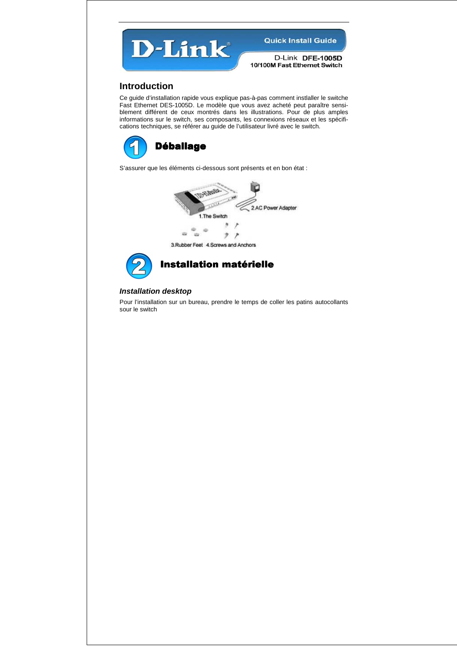

D-Link DFE-1005D 10/100M Fast Ethernet Switch

### **Introduction**

Ce guide d'installation rapide vous explique pas-à-pas comment instlaller le switche Fast Ethernet DES-1005D. Le modèle que vous avez acheté peut paraître sensiblement différent de ceux montrés dans les illustrations. Pour de plus amples informations sur le switch, ses composants, les connexions réseaux et les spécifications techniques, se référer au guide de l'utilisateur livré avec le switch.



S'assurer que les éléments ci-dessous sont présents et en bon état :





Installation matérielle

#### **Installation desktop**

Pour l'installation sur un bureau, prendre le temps de coller les patins autocollants sour le switch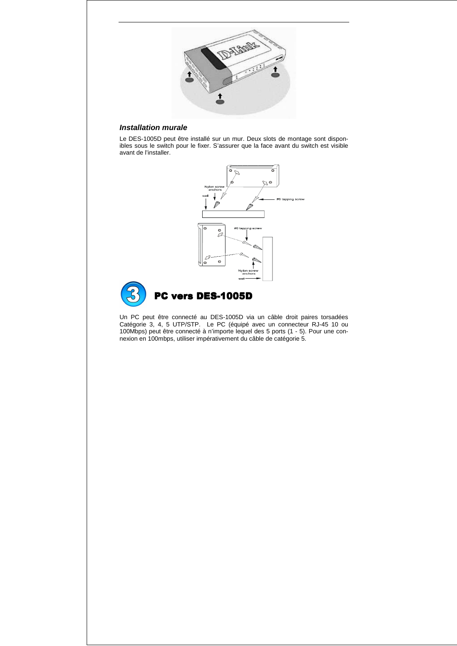

## **Installation murale**

Le DES-1005D peut être installé sur un mur. Deux slots de montage sont disponibles sous le switch pour le fixer. S'assurer que la face avant du switch est visible avant de l'installer.



Un PC peut être connecté au DES-1005D via un câble droit paires torsadées Catégorie 3, 4, 5 UTP/STP. Le PC (équipé avec un connecteur RJ-45 10 ou 100Mbps) peut être connecté à n'importe lequel des 5 ports (1 - 5). Pour une connexion en 100mbps, utiliser impérativement du câble de catégorie 5.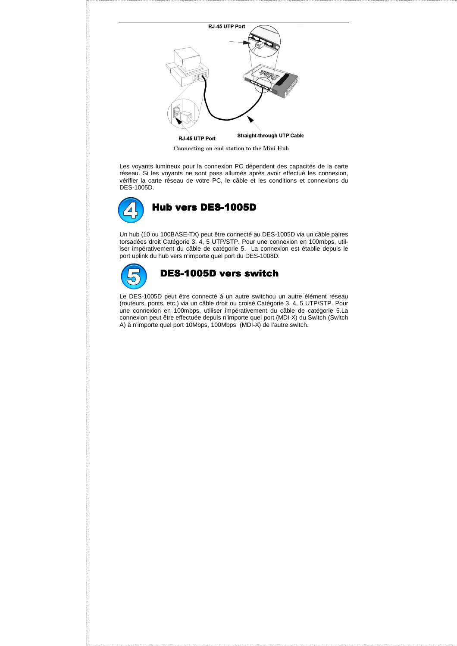

Connecting an end station to the Mini Hub

Les voyants lumineux pour la connexion PC dépendent des capacités de la carte réseau. Si les voyants ne sont pass allumés après avoir effectué les connexion, vérifier la carte réseau de votre PC, le câble et les conditions et connexions du DES-1005D.



Un hub (10 ou 100BASE-TX) peut être connecté au DES-1005D via un câble paires torsadées droit Catégorie 3, 4, 5 UTP/STP. Pour une connexion en 100mbps, utiliser impérativement du câble de catégorie 5. La connexion est établie depuis le port uplink du hub vers n'importe quel port du DES-1008D.



#### DES-1005D vers switch

Le DES-1005D peut être connecté à un autre switchou un autre élément réseau (routeurs, ponts, etc.) via un câble droit ou croisé Catégorie 3, 4, 5 UTP/STP. Pour une connexion en 100mbps, utiliser impérativement du câble de catégorie 5.La connexion peut être effectuée depuis n'importe quel port (MDI-X) du Switch (Switch A) à n'importe quel port 10Mbps, 100Mbps (MDI-X) de l'autre switch.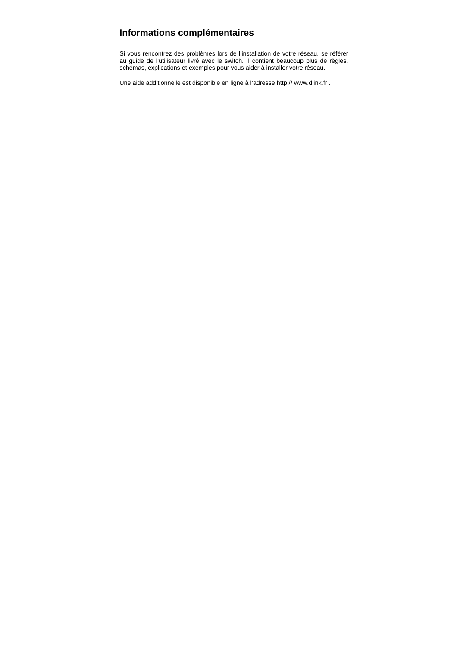# **Informations complémentaires**

Si vous rencontrez des problèmes lors de l'installation de votre réseau, se référer au guide de l'utilisateur livré avec le switch. Il contient beaucoup plus de règles, schémas, explications et exemples pour vous aider à installer votre réseau.

Une aide additionnelle est disponible en ligne à l'adresse http:// www.dlink.fr .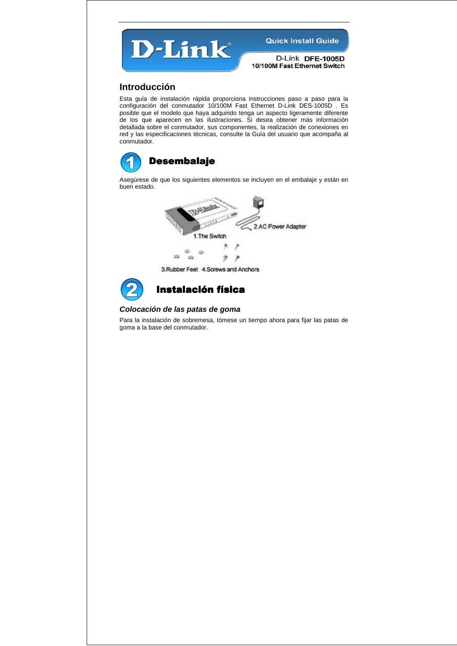

D-Link DFE-1005D 10/100M Fast Ethernet Switch

## **Introducción**

Esta guía de instalación rápida proporciona instrucciones paso a paso para la configuración del conmutador 10/100M Fast Ethernet D-Link DES-1005D . Es posible que el modelo que haya adquirido tenga un aspecto ligeramente diferente de los que aparecen en las ilustraciones. Si desea obtener más información detallada sobre el conmutador, sus componentes, la realización de conexiones en red y las especificaciones técnicas, consulte la Guía del usuario que acompaña al conmutador.



Asegúrese de que los siguientes elementos se incluyen en el embalaje y están en buen estado.



3. Rubber Feet 4. Screws and Anchors



## **Instalación física**

#### **Colocación de las patas de goma**

Para la instalación de sobremesa, tómese un tiempo ahora para fijar las patas de goma a la base del conmutador.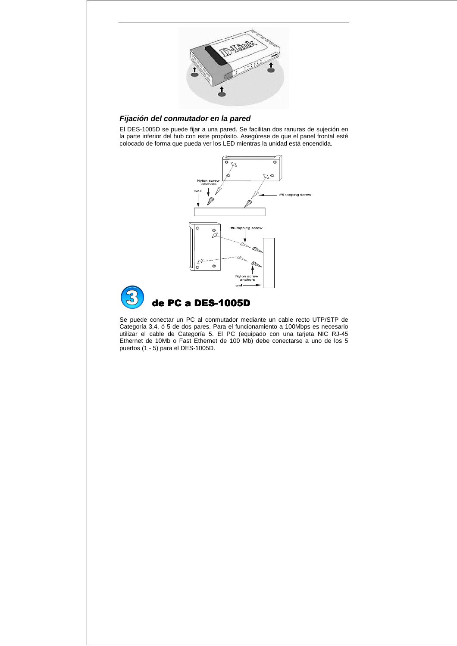

#### **Fijación del conmutador en la pared**

El DES-1005D se puede fijar a una pared. Se facilitan dos ranuras de sujeción en la parte inferior del hub con este propósito. Asegúrese de que el panel frontal esté colocado de forma que pueda ver los LED mientras la unidad está encendida.



Se puede conectar un PC al conmutador mediante un cable recto UTP/STP de Categoría 3,4, ó 5 de dos pares. Para el funcionamiento a 100Mbps es necesario utilizar el cable de Categoría 5. El PC (equipado con una tarjeta NIC RJ-45 Ethernet de 10Mb o Fast Ethernet de 100 Mb) debe conectarse a uno de los 5 puertos (1 - 5) para el DES-1005D.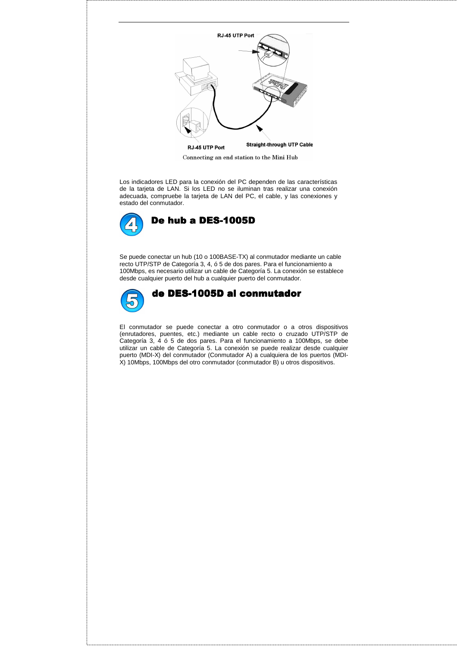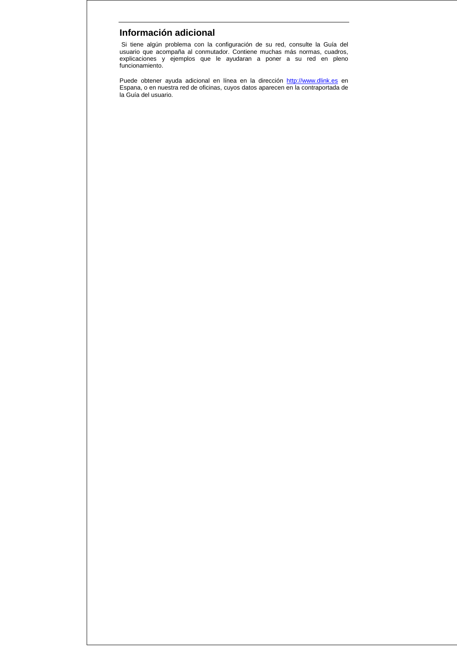## **Información adicional**

 Si tiene algún problema con la configuración de su red, consulte la Guía del usuario que acompaña al conmutador. Contiene muchas más normas, cuadros, explicaciones y ejemplos que le ayudaran a poner a su red en pleno funcionamiento.

Puede obtener ayuda adicional en línea en la dirección http://www.dlink.es en Espana, o en nuestra red de oficinas, cuyos datos aparecen en la contraportada de la Guía del usuario.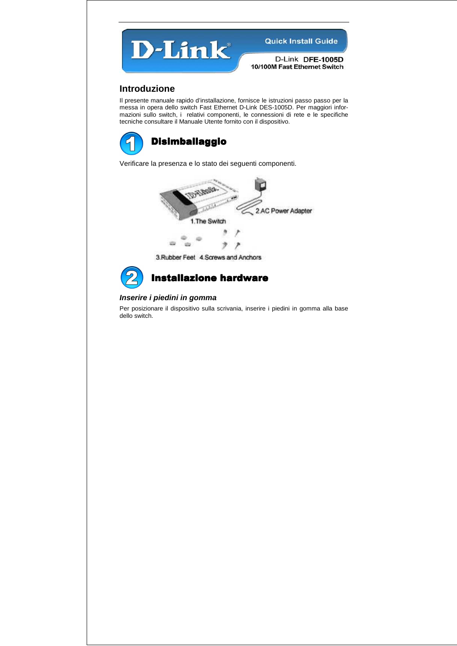

D-Link DFE-1005D 10/100M Fast Ethernet Switch

## **Introduzione**

Il presente manuale rapido d'installazione, fornisce le istruzioni passo passo per la messa in opera dello switch Fast Ethernet D-Link DES-1005D. Per maggiori informazioni sullo switch, i relativi componenti, le connessioni di rete e le specifiche tecniche consultare il Manuale Utente fornito con il dispositivo.



Verificare la presenza e lo stato dei seguenti componenti.



3. Rubber Feet 4. Screws and Anchors



## **Installazione hardware**

#### **Inserire i piedini in gomma**

Per posizionare il dispositivo sulla scrivania, inserire i piedini in gomma alla base dello switch.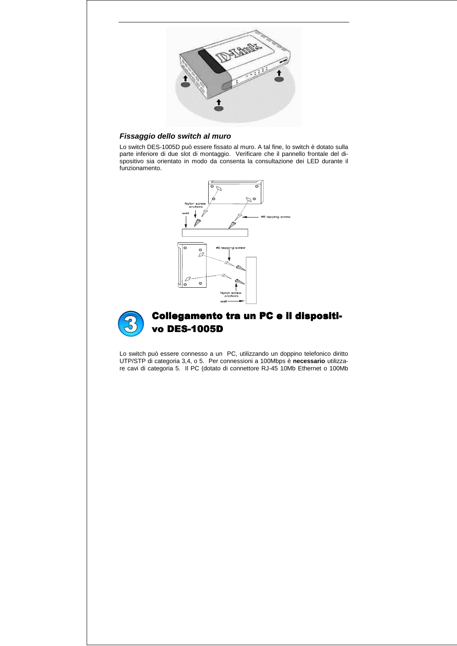

#### **Fissaggio dello switch al muro**

Lo switch DES-1005D può essere fissato al muro. A tal fine, lo switch è dotato sulla parte inferiore di due slot di montaggio. Verificare che il pannello frontale del dispositivo sia orientato in modo da consenta la consultazione dei LED durante il funzionamento.





# Collegamento tra un PC e il dispositivo DES-1005D

Lo switch può essere connesso a un PC, utilizzando un doppino telefonico diritto UTP/STP di categoria 3,4, o 5. Per connessioni a 100Mbps è **necessario** utilizzare cavi di categoria 5. Il PC (dotato di connettore RJ-45 10Mb Ethernet o 100Mb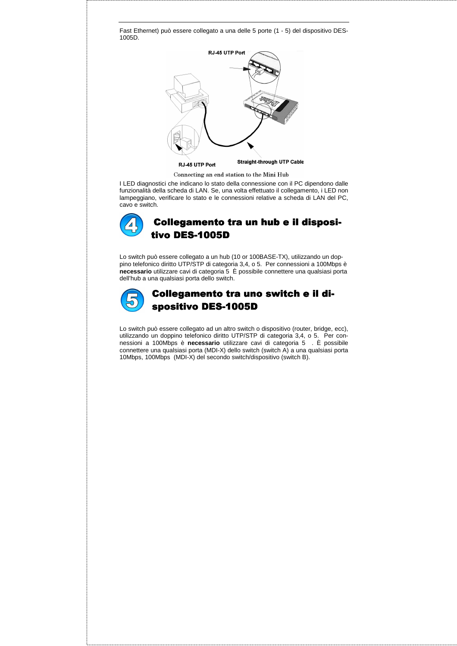

I LED diagnostici che indicano lo stato della connessione con il PC dipendono dalle funzionalità della scheda di LAN. Se, una volta effettuato il collegamento, i LED non lampeggiano, verificare lo stato e le connessioni relative a scheda di LAN del PC, cavo e switch.



Lo switch può essere collegato a un hub (10 or 100BASE-TX), utilizzando un doppino telefonico diritto UTP/STP di categoria 3,4, o 5. Per connessioni a 100Mbps è **necessario** utilizzare cavi di categoria 5 È possibile connettere una qualsiasi porta dell'hub a una qualsiasi porta dello switch.



# Collegamento tra uno switch e il dispositivo DES-1005D

Lo switch può essere collegato ad un altro switch o dispositivo (router, bridge, ecc), utilizzando un doppino telefonico diritto UTP/STP di categoria 3,4, o 5. Per connessioni a 100Mbps è **necessario** utilizzare cavi di categoria 5 . È possibile connettere una qualsiasi porta (MDI-X) dello switch (switch A) a una qualsiasi porta 10Mbps, 100Mbps (MDI-X) del secondo switch/dispositivo (switch B).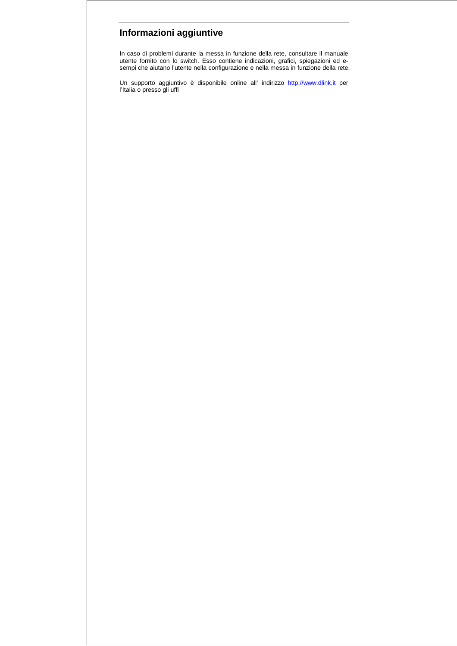# **Informazioni aggiuntive**

In caso di problemi durante la messa in funzione della rete, consultare il manuale utente fornito con lo switch. Esso contiene indicazioni, grafici, spiegazioni ed esempi che aiutano l'utente nella configurazione e nella messa in funzione della rete.

Un supporto aggiuntivo è disponibile online all' indirizzo http://www.dlink.it per l'Italia o presso gli uffi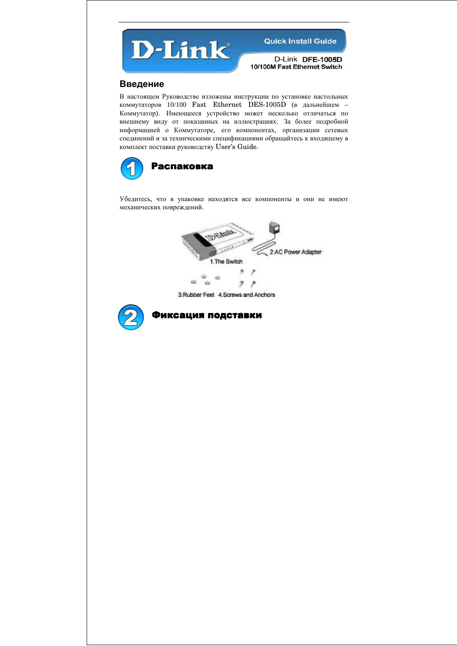

D-Link DFE-1005D 10/100M Fast Ethernet Switch

#### Введение

В настоящем Руководстве изложены инструкции по установке настольных коммутаторов 10/100 Fast Ethernet DES-1005D (в дальнейшем – Коммутатор). Имеющееся устройство может несколько отличаться по внешнему виду от показанных на иллюстрациях. За более подробной информацией о Коммутаторе, его компонентах, организации сетевых соединений и за техническими спецификациями обращайтесь к входящему в комплект поставки руководству User's Guide.



Убедитесь, что в упаковке находятся все компоненты и они не имеют механических повреждений.



3. Rubber Feet 4. Screws and Anchors



Фиксация подставки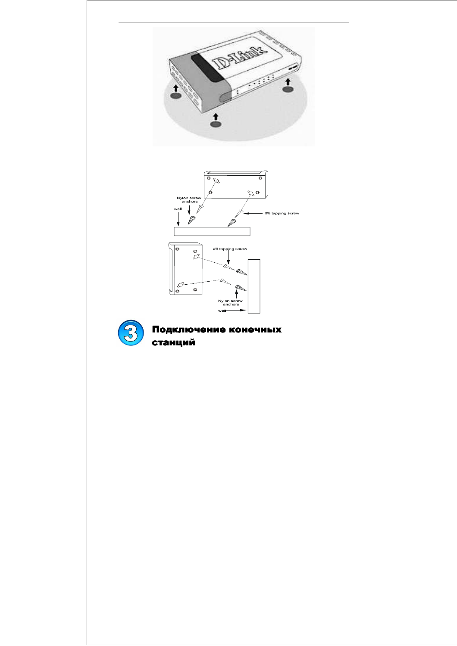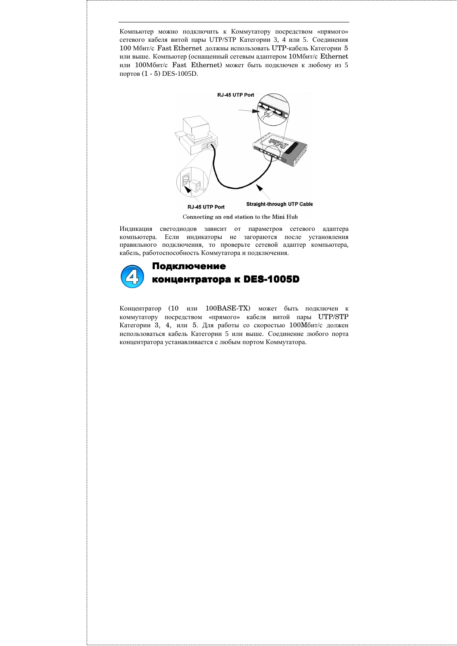Компьютер можно подключить к Коммутатору посредством «прямого» сетевого кабеля витой пары UTP/STP Категории 3, 4 или 5. Соединения 100 Мбит/с Fast Ethernet должны использовать UTP-кабель Категории 5 или выше. Компьютер (оснащенный сетевым адаптером 10Мбит/с Ethernet или 100Мбит/с Fast Ethernet) может быть подключен к любому из 5 портов (1 - 5) DES-1005D.



Connecting an end station to the Mini Hub

Индикация светодиодов зависит от параметров сетевого адаптера компьютера. Если индикаторы не загораются после установления правильного подключения, то проверьте сетевой адаптер компьютера, кабель, работоспособность Коммутатора и подключения.



# Подключение концентратора к DES-1005D

Концентратор (10 или 100BASE-TX) может быть подключен к коммутатору посредством «прямого» кабеля витой пары UTP/STP Категории 3, 4, или 5. Для работы со скоростью 100Mбит/с должен использоваться кабель Категории 5 или выше. Соединение любого порта концентратора устанавливается с любым портом Коммутатора.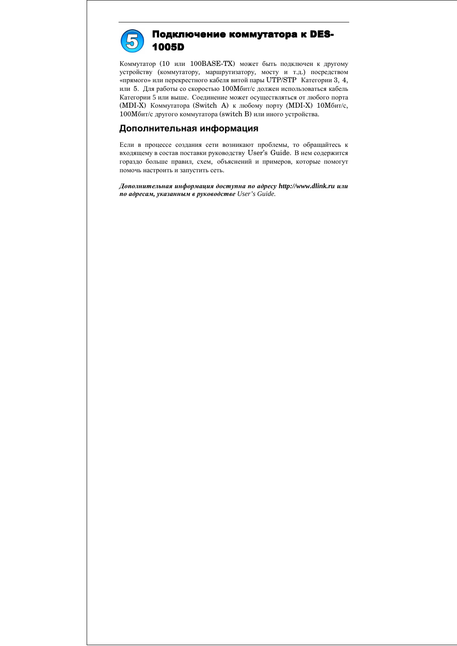

## Подключение коммутатора к DES-1005D

Коммутатор (10 или 100BASE-TX) может быть подключен к другому устройству (коммутатору, маршрутизатору, мосту и т.д.) посредством «прямого» или перекрестного кабеля витой пары UTP/STP Категории 3, 4, или 5. Для работы со скоростью 100Mбит/с должен использоваться кабель Категории 5 или выше. Соединение может осуществляться от любого порта (MDI-X) Коммутатора (Switch A) к любому порту (MDI-X) 10Mбит/с, 100Mбит/с другого коммутатора (switch B) или иного устройства.

## Дополнительная информация

Если в процессе создания сети возникают проблемы, то обращайтесь к входящему в состав поставки руководству User's Guide. В нем содержится гораздо больше правил, схем, объяснений и примеров, которые помогут помочь настроить и запустить сеть.

Дополнительная информация доступна по адресу *http://www.dlink.ru* или по адресам*,* указанным в руководстве *User's Guide.*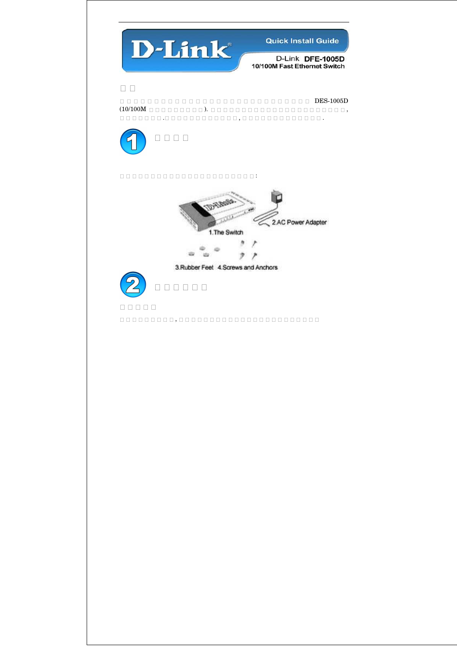

D-Link DFE-1005D 10/100M Fast Ethernet Switch

這 這 這 這 這 這 這 這 這 這 這 這 這 這 這 這 這 這 這 這 這 這 這 這 這 這 這 這 DES-1005D (10/100M 這 這 這 這 這 這 這 這 這 ). 這 這 這 這 這 這 這 這 這 這 這 這 這 這 這 這 這 這 這 這 這 這 , 這 這 這 這 這 這 這 .這 這 這 這 這 這 這 這 這 這 這 這 , 這 這 這 這 這 這 這 這 這 這 這 這 這 .



 $\begin{array}{l} \rule{0pt}{142pt} \rule{0pt}{142pt} \rule{0pt}{142pt} \rule{0pt}{142pt} \rule{0pt}{142pt} \rule{0pt}{142pt} \rule{0pt}{142pt} \rule{0pt}{142pt} \rule{0pt}{142pt} \rule{0pt}{142pt} \rule{0pt}{142pt} \rule{0pt}{142pt} \rule{0pt}{142pt} \rule{0pt}{142pt} \rule{0pt}{142pt} \rule{0pt}{142pt} \rule{0pt}{142pt} \rule{0pt}{142pt} \rule{0pt}{142pt} \rule{0$ 





**R R R R R R**  $\begin{array}{l} \texttt{11:}\qquad \texttt{12:}\qquad \texttt{13:}\qquad \texttt{14:}\qquad \texttt{14:}\qquad \texttt{15:}\qquad \texttt{16:}\qquad \texttt{17:}\qquad \texttt{17:}\qquad \texttt{18:}\qquad \texttt{19:}\qquad \texttt{19:}\qquad \texttt{19:}\qquad \texttt{19:}\qquad \texttt{19:}\qquad \texttt{19:}\qquad \texttt{19:}\qquad \texttt{19:}\qquad \texttt{19:}\qquad \texttt{19:}\qquad \texttt{19:}\qquad \texttt$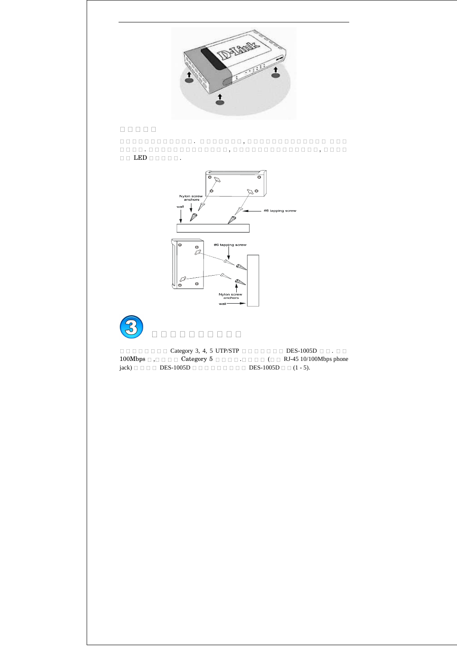

## $R = 100R$

這 這 這 這 這 這 這 這 這 這 這 這 . 這 這 這 這 這 這 這 , 這 這 這 這 這 這 這 這 這 這 這 這 這 這 這 這 這 這 這 這 . 這 這 這 這 這 這 這 這 這 這 這 這 這 , 這 這 這 這 這 這 這 這 這 這 這 這 這 這 , 這 這 這 這  $\Box \Box$   $\Box \Box$   $\Box \Box$ 





這 這 這 這 這 這 這 這 Category 3, 4, 5 UTP/STP 這 這 這 這 這 這 這 DES-1005D 這 這 . 這 這 100Mbps 這 ,這 這 這 這 Category 5 這 這 這 這 .這 這 這 這 (這 這 RJ-45 10/100Mbps phone jack) 這 這 這 這 DES-1005D 這 這 這 這 這 這 這 這 這 DES-1005D 這 這 (1 - 5).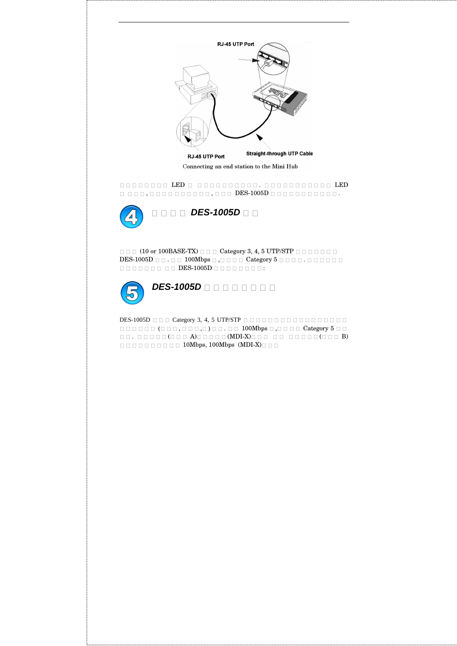